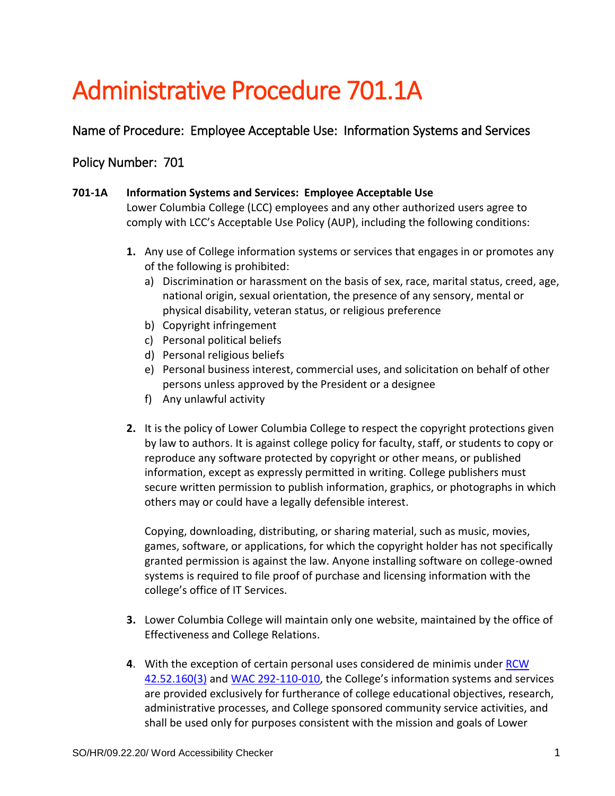## Administrative Procedure 701.1A

Name of Procedure: Employee Acceptable Use: Information Systems and Services

## Policy Number: 701

## **701-1A Information Systems and Services: Employee Acceptable Use**

Lower Columbia College (LCC) employees and any other authorized users agree to comply with LCC's Acceptable Use Policy (AUP), including the following conditions:

- **1.** Any use of College information systems or services that engages in or promotes any of the following is prohibited:
	- a) Discrimination or harassment on the basis of sex, race, marital status, creed, age, national origin, sexual orientation, the presence of any sensory, mental or physical disability, veteran status, or religious preference
	- b) Copyright infringement
	- c) Personal political beliefs
	- d) Personal religious beliefs
	- e) Personal business interest, commercial uses, and solicitation on behalf of other persons unless approved by the President or a designee
	- f) Any unlawful activity
- **2.** It is the policy of Lower Columbia College to respect the copyright protections given by law to authors. It is against college policy for faculty, staff, or students to copy or reproduce any software protected by copyright or other means, or published information, except as expressly permitted in writing. College publishers must secure written permission to publish information, graphics, or photographs in which others may or could have a legally defensible interest.

Copying, downloading, distributing, or sharing material, such as music, movies, games, software, or applications, for which the copyright holder has not specifically granted permission is against the law. Anyone installing software on college-owned systems is required to file proof of purchase and licensing information with the college's office of IT Services.

- **3.** Lower Columbia College will maintain only one website, maintained by the office of Effectiveness and College Relations.
- **4**. With the exception of certain personal uses considered de minimis under [RCW](http://app.leg.wa.gov/RCW/default.aspx?cite=42.52.160)  [42.52.160\(3\)](http://app.leg.wa.gov/RCW/default.aspx?cite=42.52.160) and [WAC 292-110-010,](http://apps.leg.wa.gov/WAC/default.aspx?cite=292-110-010) the College's information systems and services are provided exclusively for furtherance of college educational objectives, research, administrative processes, and College sponsored community service activities, and shall be used only for purposes consistent with the mission and goals of Lower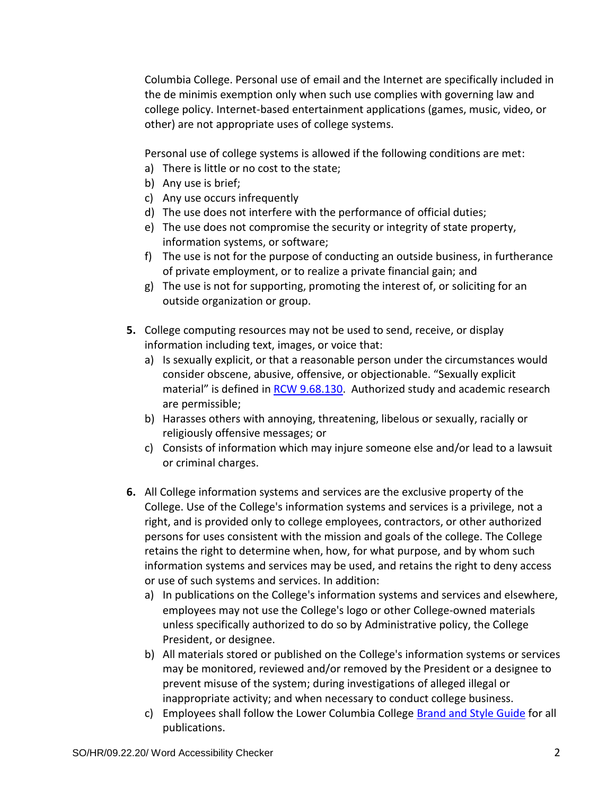Columbia College. Personal use of email and the Internet are specifically included in the de minimis exemption only when such use complies with governing law and college policy. Internet-based entertainment applications (games, music, video, or other) are not appropriate uses of college systems.

Personal use of college systems is allowed if the following conditions are met:

- a) There is little or no cost to the state;
- b) Any use is brief;
- c) Any use occurs infrequently
- d) The use does not interfere with the performance of official duties;
- e) The use does not compromise the security or integrity of state property, information systems, or software;
- f) The use is not for the purpose of conducting an outside business, in furtherance of private employment, or to realize a private financial gain; and
- g) The use is not for supporting, promoting the interest of, or soliciting for an outside organization or group.
- **5.** College computing resources may not be used to send, receive, or display information including text, images, or voice that:
	- a) Is sexually explicit, or that a reasonable person under the circumstances would consider obscene, abusive, offensive, or objectionable. "Sexually explicit material" is defined in [RCW 9.68.130.](http://apps.leg.wa.gov/RCW/default.aspx?cite=9.68.130) Authorized study and academic research are permissible;
	- b) Harasses others with annoying, threatening, libelous or sexually, racially or religiously offensive messages; or
	- c) Consists of information which may injure someone else and/or lead to a lawsuit or criminal charges.
- **6.** All College information systems and services are the exclusive property of the College. Use of the College's information systems and services is a privilege, not a right, and is provided only to college employees, contractors, or other authorized persons for uses consistent with the mission and goals of the college. The College retains the right to determine when, how, for what purpose, and by whom such information systems and services may be used, and retains the right to deny access or use of such systems and services. In addition:
	- a) In publications on the College's information systems and services and elsewhere, employees may not use the College's logo or other College-owned materials unless specifically authorized to do so by Administrative policy, the College President, or designee.
	- b) All materials stored or published on the College's information systems or services may be monitored, reviewed and/or removed by the President or a designee to prevent misuse of the system; during investigations of alleged illegal or inappropriate activity; and when necessary to conduct college business.
	- c) Employees shall follow the Lower Columbia College [Brand and Style Guide](https://lcc.ctc.edu/info/webresources/Institutional-Research/LCC_Brand_Style_Guide.pdf) for all publications.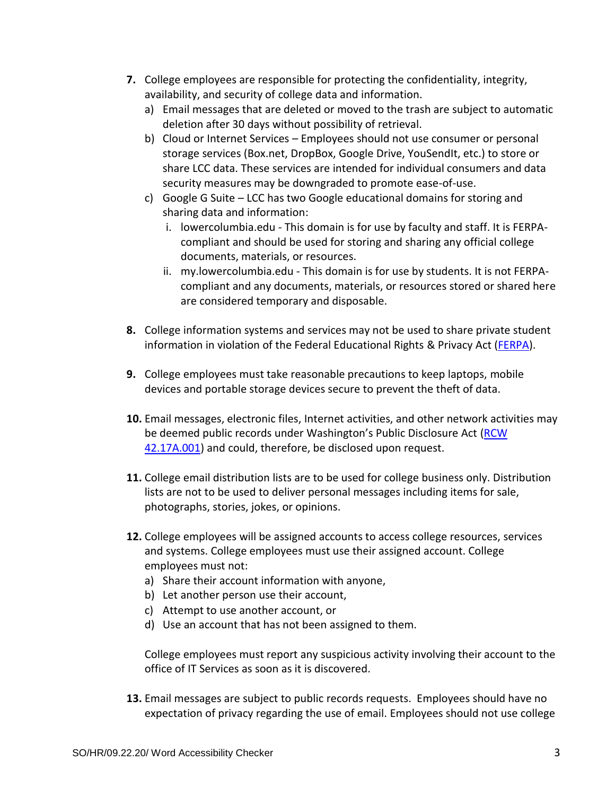- **7.** College employees are responsible for protecting the confidentiality, integrity, availability, and security of college data and information.
	- a) Email messages that are deleted or moved to the trash are subject to automatic deletion after 30 days without possibility of retrieval.
	- b) Cloud or Internet Services Employees should not use consumer or personal storage services (Box.net, DropBox, Google Drive, YouSendIt, etc.) to store or share LCC data. These services are intended for individual consumers and data security measures may be downgraded to promote ease-of-use.
	- c) Google G Suite LCC has two Google educational domains for storing and sharing data and information:
		- i. lowercolumbia.edu This domain is for use by faculty and staff. It is FERPAcompliant and should be used for storing and sharing any official college documents, materials, or resources.
		- ii. my.lowercolumbia.edu This domain is for use by students. It is not FERPAcompliant and any documents, materials, or resources stored or shared here are considered temporary and disposable.
- **8.** College information systems and services may not be used to share private student information in violation of the Federal Educational Rights & Privacy Act [\(FERPA\)](https://www2.ed.gov/policy/gen/guid/fpco/ferpa/).
- **9.** College employees must take reasonable precautions to keep laptops, mobile devices and portable storage devices secure to prevent the theft of data.
- **10.** Email messages, electronic files, Internet activities, and other network activities may be deemed public records under Washington's Public Disclosure Act (RCW [42.17A.001\)](http://apps.leg.wa.gov/rcw/default.aspx?cite=42.17A.001) and could, therefore, be disclosed upon request.
- **11.** College email distribution lists are to be used for college business only. Distribution lists are not to be used to deliver personal messages including items for sale, photographs, stories, jokes, or opinions.
- **12.** College employees will be assigned accounts to access college resources, services and systems. College employees must use their assigned account. College employees must not:
	- a) Share their account information with anyone,
	- b) Let another person use their account,
	- c) Attempt to use another account, or
	- d) Use an account that has not been assigned to them.

College employees must report any suspicious activity involving their account to the office of IT Services as soon as it is discovered.

**13.** Email messages are subject to public records requests. Employees should have no expectation of privacy regarding the use of email. Employees should not use college